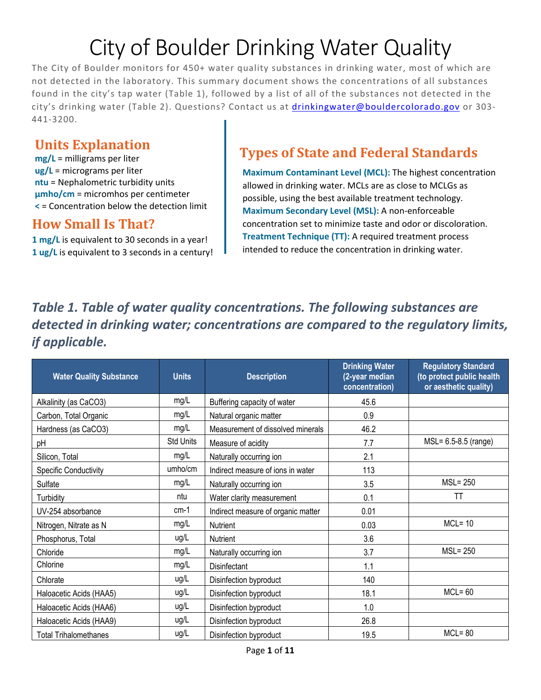# City of Boulder Drinking Water Quality

The City of Boulder monitors for 450+ water quality substances in drinking water, most of which are not detected in the laboratory. This summary document shows the concentrations of all substances found in the city's tap water [\(Table 1\)](#page-0-0), followed by a list of all of the substances not detected in the city's drinking water [\(Table 2\)](#page-1-0). Questions? Contact us at [drinkingwater@bouldercolorado.gov](mailto:drinkingwater@bouldercolorado.gov) or 303- 441-3200.

#### **Units Explanation**

**mg/L** = milligrams per liter **ug/L** = micrograms per liter **ntu** = Nephalometric turbidity units **µmho/cm** = micromhos per centimeter **<** = Concentration below the detection limit

#### **How Small Is That?**

**1 mg/L** is equivalent to 30 seconds in a year! **1 ug/L** is equivalent to 3 seconds in a century!

## **Types of State and Federal Standards**

**Maximum Contaminant Level (MCL):** The highest concentration allowed in drinking water. MCLs are as close to MCLGs as possible, using the best available treatment technology. **Maximum Secondary Level (MSL):** A non-enforceable concentration set to minimize taste and odor or discoloration. **Treatment Technique (TT):** A required treatment process intended to reduce the concentration in drinking water.

## <span id="page-0-0"></span>*Table 1. Table of water quality concentrations. The following substances are detected in drinking water; concentrations are compared to the regulatory limits, if applicable.*

| <b>Water Quality Substance</b> | <b>Units</b>     | <b>Description</b>                 | <b>Drinking Water</b><br>(2-year median<br>concentration) | <b>Regulatory Standard</b><br>(to protect public health<br>or aesthetic quality) |
|--------------------------------|------------------|------------------------------------|-----------------------------------------------------------|----------------------------------------------------------------------------------|
| Alkalinity (as CaCO3)          | mg/L             | Buffering capacity of water        | 45.6                                                      |                                                                                  |
| Carbon, Total Organic          | mg/L             | Natural organic matter             | 0.9                                                       |                                                                                  |
| Hardness (as CaCO3)            | mg/L             | Measurement of dissolved minerals  | 46.2                                                      |                                                                                  |
| pH                             | <b>Std Units</b> | Measure of acidity                 | 7.7                                                       | MSL= 6.5-8.5 (range)                                                             |
| Silicon, Total                 | mg/L             | Naturally occurring ion            | 2.1                                                       |                                                                                  |
| <b>Specific Conductivity</b>   | umho/cm          | Indirect measure of ions in water  | 113                                                       |                                                                                  |
| Sulfate                        | mg/L             | Naturally occurring ion            | 3.5                                                       | $MSL = 250$                                                                      |
| Turbidity                      | ntu              | Water clarity measurement          | 0.1                                                       | <b>TT</b>                                                                        |
| UV-254 absorbance              | $cm-1$           | Indirect measure of organic matter | 0.01                                                      |                                                                                  |
| Nitrogen, Nitrate as N         | mg/L             | Nutrient                           | 0.03                                                      | $MCL = 10$                                                                       |
| Phosphorus, Total              | ug/L             | Nutrient                           | 3.6                                                       |                                                                                  |
| Chloride                       | mg/L             | Naturally occurring ion            | 3.7                                                       | $MSL = 250$                                                                      |
| Chlorine                       | mg/L             | Disinfectant                       | 1.1                                                       |                                                                                  |
| Chlorate                       | ug/L             | Disinfection byproduct             | 140                                                       |                                                                                  |
| Haloacetic Acids (HAA5)        | ug/L             | Disinfection byproduct             | 18.1                                                      | $MCL = 60$                                                                       |
| Haloacetic Acids (HAA6)        | ug/L             | Disinfection byproduct             | 1.0                                                       |                                                                                  |
| Haloacetic Acids (HAA9)        | ug/L             | Disinfection byproduct             | 26.8                                                      |                                                                                  |
| <b>Total Trihalomethanes</b>   | ug/L             | Disinfection byproduct             | 19.5                                                      | $MCL = 80$                                                                       |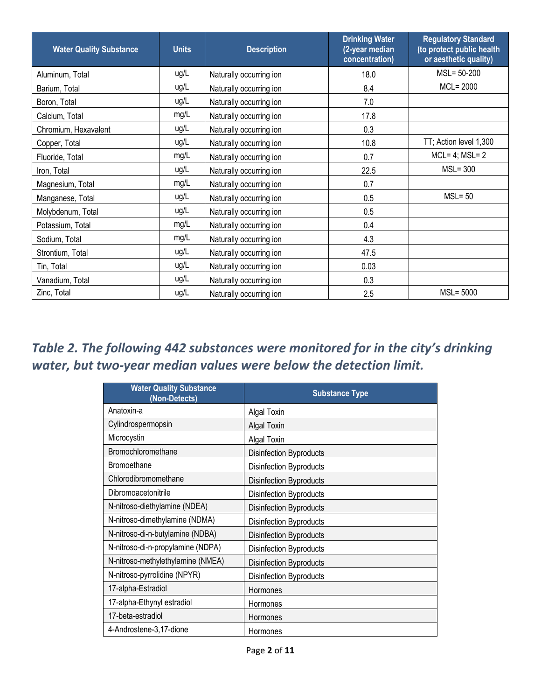| <b>Water Quality Substance</b> | <b>Units</b> | <b>Description</b>      | <b>Drinking Water</b><br>(2-year median<br>concentration) | <b>Regulatory Standard</b><br>(to protect public health<br>or aesthetic quality) |
|--------------------------------|--------------|-------------------------|-----------------------------------------------------------|----------------------------------------------------------------------------------|
| Aluminum, Total                | ug/L         | Naturally occurring ion | 18.0                                                      | $MSL = 50-200$                                                                   |
| Barium, Total                  | ug/L         | Naturally occurring ion | 8.4                                                       | MCL= 2000                                                                        |
| Boron, Total                   | ug/L         | Naturally occurring ion | 7.0                                                       |                                                                                  |
| Calcium, Total                 | mg/L         | Naturally occurring ion | 17.8                                                      |                                                                                  |
| Chromium, Hexavalent           | ug/L         | Naturally occurring ion | 0.3                                                       |                                                                                  |
| Copper, Total                  | ug/L         | Naturally occurring ion | 10.8                                                      | TT; Action level 1,300                                                           |
| Fluoride, Total                | mg/L         | Naturally occurring ion | 0.7                                                       | $MCL = 4$ ; $MSL = 2$                                                            |
| Iron, Total                    | ug/L         | Naturally occurring ion | 22.5                                                      | $MSL = 300$                                                                      |
| Magnesium, Total               | mg/L         | Naturally occurring ion | 0.7                                                       |                                                                                  |
| Manganese, Total               | ug/L         | Naturally occurring ion | 0.5                                                       | $MSL = 50$                                                                       |
| Molybdenum, Total              | ug/L         | Naturally occurring ion | 0.5                                                       |                                                                                  |
| Potassium, Total               | mg/L         | Naturally occurring ion | 0.4                                                       |                                                                                  |
| Sodium, Total                  | mg/L         | Naturally occurring ion | 4.3                                                       |                                                                                  |
| Strontium, Total               | ug/L         | Naturally occurring ion | 47.5                                                      |                                                                                  |
| Tin, Total                     | ug/L         | Naturally occurring ion | 0.03                                                      |                                                                                  |
| Vanadium, Total                | ug/L         | Naturally occurring ion | 0.3                                                       |                                                                                  |
| Zinc, Total                    | ug/L         | Naturally occurring ion | 2.5                                                       | $MSL = 5000$                                                                     |

## <span id="page-1-0"></span>*Table 2. The following 442 substances were monitored for in the city's drinking water, but two-year median values were below the detection limit.*

| <b>Water Quality Substance</b><br>(Non-Detects) | <b>Substance Type</b>          |
|-------------------------------------------------|--------------------------------|
| Anatoxin-a                                      | Algal Toxin                    |
| Cylindrospermopsin                              | <b>Algal Toxin</b>             |
| Microcystin                                     | Algal Toxin                    |
| Bromochloromethane                              | Disinfection Byproducts        |
| <b>Bromoethane</b>                              | <b>Disinfection Byproducts</b> |
| Chlorodibromomethane                            | Disinfection Byproducts        |
| Dibromoacetonitrile                             | <b>Disinfection Byproducts</b> |
| N-nitroso-diethylamine (NDEA)                   | Disinfection Byproducts        |
| N-nitroso-dimethylamine (NDMA)                  | Disinfection Byproducts        |
| N-nitroso-di-n-butylamine (NDBA)                | Disinfection Byproducts        |
| N-nitroso-di-n-propylamine (NDPA)               | <b>Disinfection Byproducts</b> |
| N-nitroso-methylethylamine (NMEA)               | Disinfection Byproducts        |
| N-nitroso-pyrrolidine (NPYR)                    | Disinfection Byproducts        |
| 17-alpha-Estradiol                              | Hormones                       |
| 17-alpha-Ethynyl estradiol                      | Hormones                       |
| 17-beta-estradiol                               | Hormones                       |
| 4-Androstene-3,17-dione                         | Hormones                       |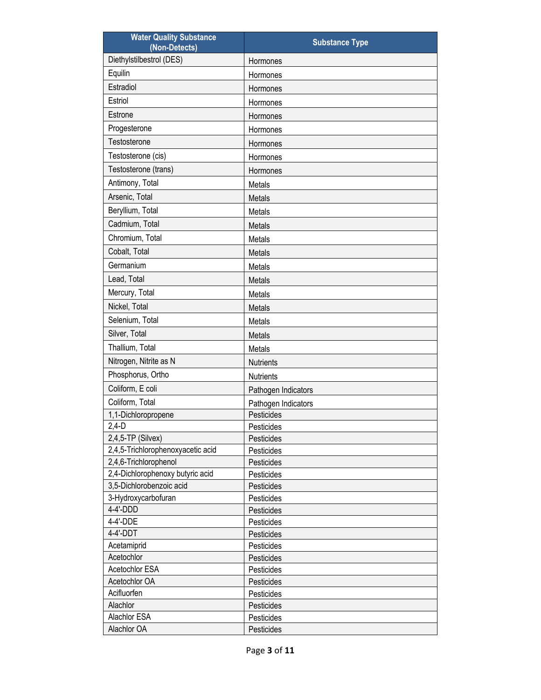| <b>Water Quality Substance</b><br>(Non-Detects) | <b>Substance Type</b>             |
|-------------------------------------------------|-----------------------------------|
| Diethylstilbestrol (DES)                        | Hormones                          |
| Equilin                                         | Hormones                          |
| Estradiol                                       | Hormones                          |
| Estriol                                         | Hormones                          |
| Estrone                                         | Hormones                          |
| Progesterone                                    | Hormones                          |
| Testosterone                                    | Hormones                          |
| Testosterone (cis)                              | Hormones                          |
| Testosterone (trans)                            | Hormones                          |
| Antimony, Total                                 | Metals                            |
| Arsenic, Total                                  | Metals                            |
| Beryllium, Total                                | Metals                            |
| Cadmium, Total                                  | Metals                            |
| Chromium, Total                                 | Metals                            |
| Cobalt, Total                                   | Metals                            |
| Germanium                                       | Metals                            |
| Lead, Total                                     | Metals                            |
| Mercury, Total                                  | Metals                            |
| Nickel, Total                                   | Metals                            |
| Selenium, Total                                 | Metals                            |
| Silver, Total                                   | Metals                            |
| Thallium, Total                                 | Metals                            |
| Nitrogen, Nitrite as N                          | <b>Nutrients</b>                  |
| Phosphorus, Ortho                               | <b>Nutrients</b>                  |
| Coliform, E coli                                |                                   |
| Coliform, Total                                 | Pathogen Indicators               |
| 1,1-Dichloropropene                             | Pathogen Indicators<br>Pesticides |
| $2,4-D$                                         | Pesticides                        |
| 2,4,5-TP (Silvex)                               | Pesticides                        |
| 2,4,5-Trichlorophenoxyacetic acid               | Pesticides                        |
| 2,4,6-Trichlorophenol                           | Pesticides                        |
| 2,4-Dichlorophenoxy butyric acid                | Pesticides                        |
| 3,5-Dichlorobenzoic acid                        | Pesticides                        |
| 3-Hydroxycarbofuran                             | Pesticides                        |
| 4-4'-DDD                                        | Pesticides                        |
| 4-4'-DDE                                        | Pesticides                        |
| 4-4'-DDT                                        | Pesticides                        |
| Acetamiprid                                     | Pesticides                        |
| Acetochlor                                      | Pesticides                        |
| Acetochlor ESA                                  | Pesticides                        |
| Acetochlor OA                                   | Pesticides                        |
| Acifluorfen                                     | Pesticides                        |
| Alachlor                                        | Pesticides                        |
| Alachlor ESA                                    | Pesticides                        |
| Alachlor OA                                     | Pesticides                        |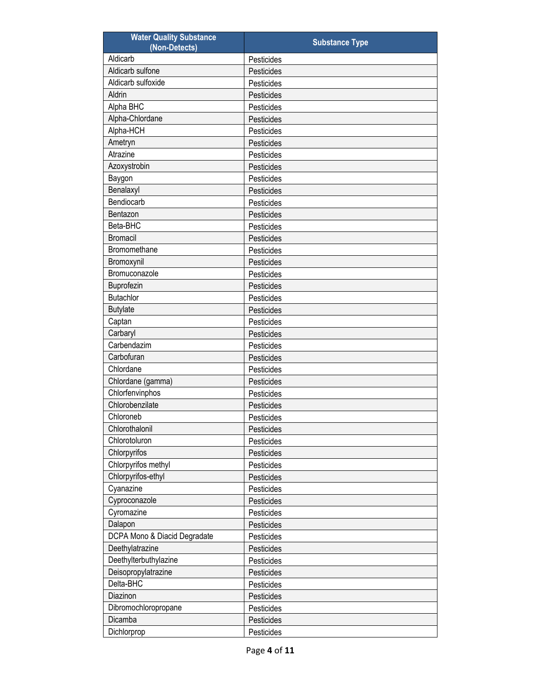| <b>Water Quality Substance</b><br>(Non-Detects) | <b>Substance Type</b> |
|-------------------------------------------------|-----------------------|
| Aldicarb                                        | Pesticides            |
| Aldicarb sulfone                                | Pesticides            |
| Aldicarb sulfoxide                              | Pesticides            |
| Aldrin                                          | Pesticides            |
| Alpha BHC                                       | Pesticides            |
| Alpha-Chlordane                                 | Pesticides            |
| Alpha-HCH                                       | Pesticides            |
| Ametryn                                         | Pesticides            |
| Atrazine                                        | Pesticides            |
| Azoxystrobin                                    | Pesticides            |
| Baygon                                          | Pesticides            |
| Benalaxyl                                       | Pesticides            |
| Bendiocarb                                      | Pesticides            |
| Bentazon                                        | Pesticides            |
| Beta-BHC                                        | Pesticides            |
| <b>Bromacil</b>                                 | Pesticides            |
| Bromomethane                                    | Pesticides            |
| Bromoxynil                                      | Pesticides            |
| Bromuconazole                                   | Pesticides            |
| Buprofezin                                      | Pesticides            |
| <b>Butachlor</b>                                | Pesticides            |
| <b>Butylate</b>                                 | Pesticides            |
| Captan                                          | Pesticides            |
| Carbaryl                                        | Pesticides            |
| Carbendazim                                     | Pesticides            |
| Carbofuran                                      | Pesticides            |
| Chlordane                                       | Pesticides            |
| Chlordane (gamma)                               | Pesticides            |
| Chlorfenvinphos                                 | Pesticides            |
| Chlorobenzilate                                 | Pesticides            |
| Chloroneb                                       | Pesticides            |
| Chlorothalonil                                  | Pesticides            |
| Chlorotoluron                                   | Pesticides            |
| Chlorpyrifos                                    | Pesticides            |
| Chlorpyrifos methyl                             | Pesticides            |
| Chlorpyrifos-ethyl                              | Pesticides            |
| Cyanazine                                       | Pesticides            |
| Cyproconazole                                   | Pesticides            |
| Cyromazine                                      | Pesticides            |
| Dalapon                                         | Pesticides            |
| DCPA Mono & Diacid Degradate                    | Pesticides            |
| Deethylatrazine                                 | Pesticides            |
| Deethylterbuthylazine                           | Pesticides            |
| Deisopropylatrazine                             | Pesticides            |
| Delta-BHC                                       | Pesticides            |
| Diazinon                                        | Pesticides            |
| Dibromochloropropane                            | Pesticides            |
| Dicamba                                         | Pesticides            |
| Dichlorprop                                     | Pesticides            |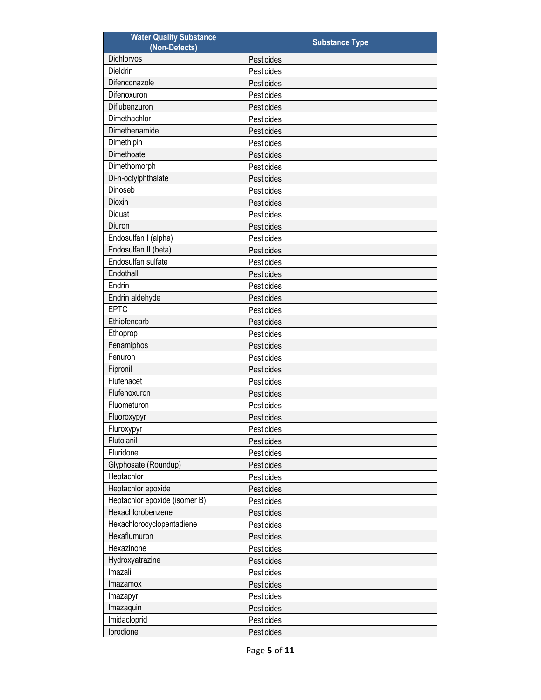| <b>Water Quality Substance</b><br>(Non-Detects) | <b>Substance Type</b> |
|-------------------------------------------------|-----------------------|
| Dichlorvos                                      | Pesticides            |
| Dieldrin                                        | Pesticides            |
| Difenconazole                                   | Pesticides            |
| Difenoxuron                                     | Pesticides            |
| Diflubenzuron                                   | Pesticides            |
| Dimethachlor                                    | Pesticides            |
| Dimethenamide                                   | Pesticides            |
| Dimethipin                                      | Pesticides            |
| Dimethoate                                      | Pesticides            |
| Dimethomorph                                    | Pesticides            |
| Di-n-octylphthalate                             | Pesticides            |
| Dinoseb                                         | Pesticides            |
| Dioxin                                          | Pesticides            |
| Diquat                                          | Pesticides            |
| Diuron                                          | Pesticides            |
| Endosulfan I (alpha)                            |                       |
|                                                 | Pesticides            |
| Endosulfan II (beta)                            | Pesticides            |
| Endosulfan sulfate                              | Pesticides            |
| Endothall                                       | Pesticides            |
| Endrin                                          | Pesticides            |
| Endrin aldehyde                                 | Pesticides            |
| <b>EPTC</b>                                     | Pesticides            |
| Ethiofencarb                                    | Pesticides            |
| Ethoprop                                        | Pesticides            |
| Fenamiphos                                      | Pesticides            |
| Fenuron                                         | Pesticides            |
| Fipronil                                        | Pesticides            |
| Flufenacet                                      | Pesticides            |
| Flufenoxuron                                    | Pesticides            |
| Fluometuron                                     | Pesticides            |
| Fluoroxypyr                                     | Pesticides            |
| Fluroxypyr                                      | Pesticides            |
| Flutolanil                                      | Pesticides            |
| Fluridone                                       | Pesticides            |
| Glyphosate (Roundup)                            | Pesticides            |
| Heptachlor                                      | Pesticides            |
| Heptachlor epoxide                              | Pesticides            |
| Heptachlor epoxide (isomer B)                   | Pesticides            |
| Hexachlorobenzene                               | Pesticides            |
| Hexachlorocyclopentadiene                       | Pesticides            |
| Hexaflumuron                                    | Pesticides            |
| Hexazinone                                      | Pesticides            |
| Hydroxyatrazine                                 | Pesticides            |
| Imazalil                                        | Pesticides            |
| Imazamox                                        | Pesticides            |
| Imazapyr                                        | Pesticides            |
| Imazaquin                                       | Pesticides            |
| Imidacloprid                                    | Pesticides            |
| Iprodione                                       | Pesticides            |
|                                                 |                       |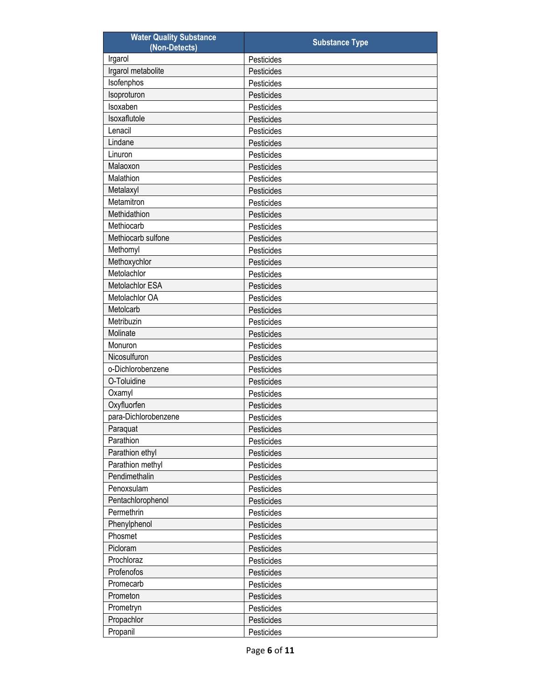| <b>Water Quality Substance</b><br>(Non-Detects) | <b>Substance Type</b> |
|-------------------------------------------------|-----------------------|
| Irgarol                                         | Pesticides            |
| Irgarol metabolite                              | Pesticides            |
| Isofenphos                                      | Pesticides            |
| Isoproturon                                     | Pesticides            |
| Isoxaben                                        | Pesticides            |
| Isoxaflutole                                    | Pesticides            |
| Lenacil                                         | Pesticides            |
| Lindane                                         | Pesticides            |
| Linuron                                         | Pesticides            |
| Malaoxon                                        | Pesticides            |
| Malathion                                       | Pesticides            |
| Metalaxyl                                       | Pesticides            |
| Metamitron                                      | Pesticides            |
| Methidathion                                    | Pesticides            |
| Methiocarb                                      | Pesticides            |
| Methiocarb sulfone                              | Pesticides            |
| Methomyl                                        | Pesticides            |
| Methoxychlor                                    | Pesticides            |
| Metolachlor                                     | Pesticides            |
| Metolachlor ESA                                 | Pesticides            |
| Metolachlor OA                                  | Pesticides            |
| Metolcarb                                       | Pesticides            |
| Metribuzin                                      | Pesticides            |
| Molinate                                        | Pesticides            |
| Monuron                                         | Pesticides            |
| Nicosulfuron                                    | Pesticides            |
| o-Dichlorobenzene                               | Pesticides            |
| O-Toluidine                                     | Pesticides            |
| Oxamyl                                          | Pesticides            |
| Oxyfluorfen                                     | Pesticides            |
| para-Dichlorobenzene                            | Pesticides            |
| Paraquat                                        | Pesticides            |
| Parathion                                       | Pesticides            |
| Parathion ethyl                                 | Pesticides            |
| Parathion methyl                                | Pesticides            |
| Pendimethalin                                   | Pesticides            |
| Penoxsulam                                      | Pesticides            |
| Pentachlorophenol                               | Pesticides            |
| Permethrin                                      | Pesticides            |
| Phenylphenol                                    | Pesticides            |
| Phosmet                                         | Pesticides            |
| Picloram                                        | Pesticides            |
| Prochloraz                                      | Pesticides            |
| Profenofos                                      | Pesticides            |
| Promecarb                                       | Pesticides            |
| Prometon                                        | Pesticides            |
| Prometryn                                       | Pesticides            |
| Propachlor                                      | Pesticides            |
| Propanil                                        | Pesticides            |
|                                                 |                       |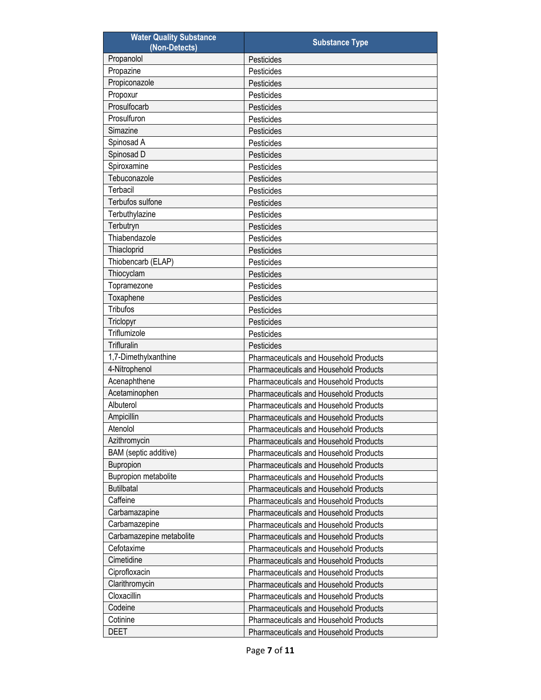| <b>Water Quality Substance</b><br>(Non-Detects) | <b>Substance Type</b>                         |
|-------------------------------------------------|-----------------------------------------------|
| Propanolol                                      | Pesticides                                    |
| Propazine                                       | Pesticides                                    |
| Propiconazole                                   | Pesticides                                    |
| Propoxur                                        | Pesticides                                    |
| Prosulfocarb                                    | Pesticides                                    |
| Prosulfuron                                     | Pesticides                                    |
| Simazine                                        | Pesticides                                    |
| Spinosad A                                      | Pesticides                                    |
| Spinosad D                                      | Pesticides                                    |
| Spiroxamine                                     | Pesticides                                    |
| Tebuconazole                                    | Pesticides                                    |
| Terbacil                                        | Pesticides                                    |
| Terbufos sulfone                                | Pesticides                                    |
| Terbuthylazine                                  | Pesticides                                    |
| Terbutryn                                       | Pesticides                                    |
| Thiabendazole                                   | Pesticides                                    |
| Thiacloprid                                     | Pesticides                                    |
| Thiobencarb (ELAP)                              | Pesticides                                    |
| Thiocyclam                                      | Pesticides                                    |
| Topramezone                                     | Pesticides                                    |
| Toxaphene                                       | Pesticides                                    |
| <b>Tribufos</b>                                 | Pesticides                                    |
| Triclopyr                                       | Pesticides                                    |
| Triflumizole                                    | Pesticides                                    |
| Trifluralin                                     | Pesticides                                    |
| 1,7-Dimethylxanthine                            | <b>Pharmaceuticals and Household Products</b> |
| 4-Nitrophenol                                   | <b>Pharmaceuticals and Household Products</b> |
| Acenaphthene                                    | <b>Pharmaceuticals and Household Products</b> |
| Acetaminophen                                   | <b>Pharmaceuticals and Household Products</b> |
| Albuterol                                       | <b>Pharmaceuticals and Household Products</b> |
| Ampicillin                                      | Pharmaceuticals and Household Products        |
| Atenolol                                        | Pharmaceuticals and Household Products        |
| Azithromycin                                    | Pharmaceuticals and Household Products        |
| BAM (septic additive)                           | <b>Pharmaceuticals and Household Products</b> |
| Bupropion                                       | <b>Pharmaceuticals and Household Products</b> |
| Bupropion metabolite                            | <b>Pharmaceuticals and Household Products</b> |
| <b>Butilbatal</b>                               | <b>Pharmaceuticals and Household Products</b> |
| Caffeine                                        | <b>Pharmaceuticals and Household Products</b> |
| Carbamazapine                                   | Pharmaceuticals and Household Products        |
| Carbamazepine                                   | <b>Pharmaceuticals and Household Products</b> |
| Carbamazepine metabolite                        | <b>Pharmaceuticals and Household Products</b> |
| Cefotaxime                                      | <b>Pharmaceuticals and Household Products</b> |
| Cimetidine                                      | Pharmaceuticals and Household Products        |
| Ciprofloxacin                                   | <b>Pharmaceuticals and Household Products</b> |
| Clarithromycin                                  | <b>Pharmaceuticals and Household Products</b> |
| Cloxacillin                                     | <b>Pharmaceuticals and Household Products</b> |
| Codeine                                         | <b>Pharmaceuticals and Household Products</b> |
| Cotinine                                        | Pharmaceuticals and Household Products        |
| <b>DEET</b>                                     | <b>Pharmaceuticals and Household Products</b> |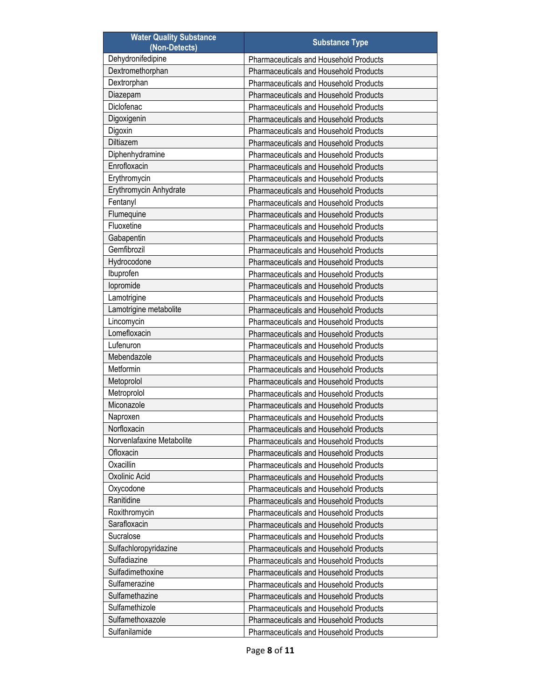| Dehydronifedipine<br><b>Pharmaceuticals and Household Products</b><br>Dextromethorphan<br><b>Pharmaceuticals and Household Products</b><br>Dextrorphan<br>Pharmaceuticals and Household Products<br>Diazepam<br>Pharmaceuticals and Household Products<br>Diclofenac<br><b>Pharmaceuticals and Household Products</b><br>Digoxigenin<br><b>Pharmaceuticals and Household Products</b><br>Digoxin<br><b>Pharmaceuticals and Household Products</b><br>Diltiazem<br><b>Pharmaceuticals and Household Products</b><br>Diphenhydramine<br><b>Pharmaceuticals and Household Products</b><br>Enrofloxacin<br><b>Pharmaceuticals and Household Products</b><br>Erythromycin<br><b>Pharmaceuticals and Household Products</b><br>Erythromycin Anhydrate<br>Pharmaceuticals and Household Products<br>Fentanyl<br><b>Pharmaceuticals and Household Products</b><br>Flumequine<br><b>Pharmaceuticals and Household Products</b><br>Fluoxetine<br><b>Pharmaceuticals and Household Products</b><br>Gabapentin<br><b>Pharmaceuticals and Household Products</b><br>Gemfibrozil<br><b>Pharmaceuticals and Household Products</b><br>Hydrocodone<br><b>Pharmaceuticals and Household Products</b><br>Ibuprofen<br><b>Pharmaceuticals and Household Products</b><br>lopromide<br><b>Pharmaceuticals and Household Products</b><br>Lamotrigine<br><b>Pharmaceuticals and Household Products</b><br>Lamotrigine metabolite<br><b>Pharmaceuticals and Household Products</b><br>Lincomycin<br><b>Pharmaceuticals and Household Products</b><br>Lomefloxacin<br><b>Pharmaceuticals and Household Products</b><br>Lufenuron<br><b>Pharmaceuticals and Household Products</b><br>Mebendazole<br><b>Pharmaceuticals and Household Products</b><br>Metformin<br><b>Pharmaceuticals and Household Products</b><br>Metoprolol<br><b>Pharmaceuticals and Household Products</b><br>Metroprolol<br><b>Pharmaceuticals and Household Products</b><br>Miconazole<br><b>Pharmaceuticals and Household Products</b><br>Naproxen<br>Pharmaceuticals and Household Products<br>Norfloxacin<br>Pharmaceuticals and Household Products<br>Norvenlafaxine Metabolite<br><b>Pharmaceuticals and Household Products</b><br>Ofloxacin<br>Pharmaceuticals and Household Products<br>Oxacillin<br>Pharmaceuticals and Household Products<br>Oxolinic Acid<br>Pharmaceuticals and Household Products<br>Oxycodone<br><b>Pharmaceuticals and Household Products</b><br>Ranitidine<br><b>Pharmaceuticals and Household Products</b><br>Roxithromycin<br>Pharmaceuticals and Household Products<br>Sarafloxacin<br>Pharmaceuticals and Household Products<br>Sucralose<br><b>Pharmaceuticals and Household Products</b><br>Sulfachloropyridazine<br>Pharmaceuticals and Household Products<br>Sulfadiazine<br>Pharmaceuticals and Household Products<br>Sulfadimethoxine<br>Pharmaceuticals and Household Products<br>Sulfamerazine<br><b>Pharmaceuticals and Household Products</b><br>Sulfamethazine<br><b>Pharmaceuticals and Household Products</b><br>Sulfamethizole<br>Pharmaceuticals and Household Products<br>Sulfamethoxazole<br>Pharmaceuticals and Household Products | <b>Water Quality Substance</b><br>(Non-Detects) | <b>Substance Type</b>                  |
|--------------------------------------------------------------------------------------------------------------------------------------------------------------------------------------------------------------------------------------------------------------------------------------------------------------------------------------------------------------------------------------------------------------------------------------------------------------------------------------------------------------------------------------------------------------------------------------------------------------------------------------------------------------------------------------------------------------------------------------------------------------------------------------------------------------------------------------------------------------------------------------------------------------------------------------------------------------------------------------------------------------------------------------------------------------------------------------------------------------------------------------------------------------------------------------------------------------------------------------------------------------------------------------------------------------------------------------------------------------------------------------------------------------------------------------------------------------------------------------------------------------------------------------------------------------------------------------------------------------------------------------------------------------------------------------------------------------------------------------------------------------------------------------------------------------------------------------------------------------------------------------------------------------------------------------------------------------------------------------------------------------------------------------------------------------------------------------------------------------------------------------------------------------------------------------------------------------------------------------------------------------------------------------------------------------------------------------------------------------------------------------------------------------------------------------------------------------------------------------------------------------------------------------------------------------------------------------------------------------------------------------------------------------------------------------------------------------------------------------------------------------------------------------------------------------------------------------------------------------------------------------------------------------------------------------------------------------------------------------------------------------------------------------------------------------------------------------------------------------------------------------|-------------------------------------------------|----------------------------------------|
|                                                                                                                                                                                                                                                                                                                                                                                                                                                                                                                                                                                                                                                                                                                                                                                                                                                                                                                                                                                                                                                                                                                                                                                                                                                                                                                                                                                                                                                                                                                                                                                                                                                                                                                                                                                                                                                                                                                                                                                                                                                                                                                                                                                                                                                                                                                                                                                                                                                                                                                                                                                                                                                                                                                                                                                                                                                                                                                                                                                                                                                                                                                                      |                                                 |                                        |
|                                                                                                                                                                                                                                                                                                                                                                                                                                                                                                                                                                                                                                                                                                                                                                                                                                                                                                                                                                                                                                                                                                                                                                                                                                                                                                                                                                                                                                                                                                                                                                                                                                                                                                                                                                                                                                                                                                                                                                                                                                                                                                                                                                                                                                                                                                                                                                                                                                                                                                                                                                                                                                                                                                                                                                                                                                                                                                                                                                                                                                                                                                                                      |                                                 |                                        |
|                                                                                                                                                                                                                                                                                                                                                                                                                                                                                                                                                                                                                                                                                                                                                                                                                                                                                                                                                                                                                                                                                                                                                                                                                                                                                                                                                                                                                                                                                                                                                                                                                                                                                                                                                                                                                                                                                                                                                                                                                                                                                                                                                                                                                                                                                                                                                                                                                                                                                                                                                                                                                                                                                                                                                                                                                                                                                                                                                                                                                                                                                                                                      |                                                 |                                        |
|                                                                                                                                                                                                                                                                                                                                                                                                                                                                                                                                                                                                                                                                                                                                                                                                                                                                                                                                                                                                                                                                                                                                                                                                                                                                                                                                                                                                                                                                                                                                                                                                                                                                                                                                                                                                                                                                                                                                                                                                                                                                                                                                                                                                                                                                                                                                                                                                                                                                                                                                                                                                                                                                                                                                                                                                                                                                                                                                                                                                                                                                                                                                      |                                                 |                                        |
|                                                                                                                                                                                                                                                                                                                                                                                                                                                                                                                                                                                                                                                                                                                                                                                                                                                                                                                                                                                                                                                                                                                                                                                                                                                                                                                                                                                                                                                                                                                                                                                                                                                                                                                                                                                                                                                                                                                                                                                                                                                                                                                                                                                                                                                                                                                                                                                                                                                                                                                                                                                                                                                                                                                                                                                                                                                                                                                                                                                                                                                                                                                                      |                                                 |                                        |
|                                                                                                                                                                                                                                                                                                                                                                                                                                                                                                                                                                                                                                                                                                                                                                                                                                                                                                                                                                                                                                                                                                                                                                                                                                                                                                                                                                                                                                                                                                                                                                                                                                                                                                                                                                                                                                                                                                                                                                                                                                                                                                                                                                                                                                                                                                                                                                                                                                                                                                                                                                                                                                                                                                                                                                                                                                                                                                                                                                                                                                                                                                                                      |                                                 |                                        |
|                                                                                                                                                                                                                                                                                                                                                                                                                                                                                                                                                                                                                                                                                                                                                                                                                                                                                                                                                                                                                                                                                                                                                                                                                                                                                                                                                                                                                                                                                                                                                                                                                                                                                                                                                                                                                                                                                                                                                                                                                                                                                                                                                                                                                                                                                                                                                                                                                                                                                                                                                                                                                                                                                                                                                                                                                                                                                                                                                                                                                                                                                                                                      |                                                 |                                        |
|                                                                                                                                                                                                                                                                                                                                                                                                                                                                                                                                                                                                                                                                                                                                                                                                                                                                                                                                                                                                                                                                                                                                                                                                                                                                                                                                                                                                                                                                                                                                                                                                                                                                                                                                                                                                                                                                                                                                                                                                                                                                                                                                                                                                                                                                                                                                                                                                                                                                                                                                                                                                                                                                                                                                                                                                                                                                                                                                                                                                                                                                                                                                      |                                                 |                                        |
|                                                                                                                                                                                                                                                                                                                                                                                                                                                                                                                                                                                                                                                                                                                                                                                                                                                                                                                                                                                                                                                                                                                                                                                                                                                                                                                                                                                                                                                                                                                                                                                                                                                                                                                                                                                                                                                                                                                                                                                                                                                                                                                                                                                                                                                                                                                                                                                                                                                                                                                                                                                                                                                                                                                                                                                                                                                                                                                                                                                                                                                                                                                                      |                                                 |                                        |
|                                                                                                                                                                                                                                                                                                                                                                                                                                                                                                                                                                                                                                                                                                                                                                                                                                                                                                                                                                                                                                                                                                                                                                                                                                                                                                                                                                                                                                                                                                                                                                                                                                                                                                                                                                                                                                                                                                                                                                                                                                                                                                                                                                                                                                                                                                                                                                                                                                                                                                                                                                                                                                                                                                                                                                                                                                                                                                                                                                                                                                                                                                                                      |                                                 |                                        |
|                                                                                                                                                                                                                                                                                                                                                                                                                                                                                                                                                                                                                                                                                                                                                                                                                                                                                                                                                                                                                                                                                                                                                                                                                                                                                                                                                                                                                                                                                                                                                                                                                                                                                                                                                                                                                                                                                                                                                                                                                                                                                                                                                                                                                                                                                                                                                                                                                                                                                                                                                                                                                                                                                                                                                                                                                                                                                                                                                                                                                                                                                                                                      |                                                 |                                        |
|                                                                                                                                                                                                                                                                                                                                                                                                                                                                                                                                                                                                                                                                                                                                                                                                                                                                                                                                                                                                                                                                                                                                                                                                                                                                                                                                                                                                                                                                                                                                                                                                                                                                                                                                                                                                                                                                                                                                                                                                                                                                                                                                                                                                                                                                                                                                                                                                                                                                                                                                                                                                                                                                                                                                                                                                                                                                                                                                                                                                                                                                                                                                      |                                                 |                                        |
|                                                                                                                                                                                                                                                                                                                                                                                                                                                                                                                                                                                                                                                                                                                                                                                                                                                                                                                                                                                                                                                                                                                                                                                                                                                                                                                                                                                                                                                                                                                                                                                                                                                                                                                                                                                                                                                                                                                                                                                                                                                                                                                                                                                                                                                                                                                                                                                                                                                                                                                                                                                                                                                                                                                                                                                                                                                                                                                                                                                                                                                                                                                                      |                                                 |                                        |
|                                                                                                                                                                                                                                                                                                                                                                                                                                                                                                                                                                                                                                                                                                                                                                                                                                                                                                                                                                                                                                                                                                                                                                                                                                                                                                                                                                                                                                                                                                                                                                                                                                                                                                                                                                                                                                                                                                                                                                                                                                                                                                                                                                                                                                                                                                                                                                                                                                                                                                                                                                                                                                                                                                                                                                                                                                                                                                                                                                                                                                                                                                                                      |                                                 |                                        |
|                                                                                                                                                                                                                                                                                                                                                                                                                                                                                                                                                                                                                                                                                                                                                                                                                                                                                                                                                                                                                                                                                                                                                                                                                                                                                                                                                                                                                                                                                                                                                                                                                                                                                                                                                                                                                                                                                                                                                                                                                                                                                                                                                                                                                                                                                                                                                                                                                                                                                                                                                                                                                                                                                                                                                                                                                                                                                                                                                                                                                                                                                                                                      |                                                 |                                        |
|                                                                                                                                                                                                                                                                                                                                                                                                                                                                                                                                                                                                                                                                                                                                                                                                                                                                                                                                                                                                                                                                                                                                                                                                                                                                                                                                                                                                                                                                                                                                                                                                                                                                                                                                                                                                                                                                                                                                                                                                                                                                                                                                                                                                                                                                                                                                                                                                                                                                                                                                                                                                                                                                                                                                                                                                                                                                                                                                                                                                                                                                                                                                      |                                                 |                                        |
|                                                                                                                                                                                                                                                                                                                                                                                                                                                                                                                                                                                                                                                                                                                                                                                                                                                                                                                                                                                                                                                                                                                                                                                                                                                                                                                                                                                                                                                                                                                                                                                                                                                                                                                                                                                                                                                                                                                                                                                                                                                                                                                                                                                                                                                                                                                                                                                                                                                                                                                                                                                                                                                                                                                                                                                                                                                                                                                                                                                                                                                                                                                                      |                                                 |                                        |
|                                                                                                                                                                                                                                                                                                                                                                                                                                                                                                                                                                                                                                                                                                                                                                                                                                                                                                                                                                                                                                                                                                                                                                                                                                                                                                                                                                                                                                                                                                                                                                                                                                                                                                                                                                                                                                                                                                                                                                                                                                                                                                                                                                                                                                                                                                                                                                                                                                                                                                                                                                                                                                                                                                                                                                                                                                                                                                                                                                                                                                                                                                                                      |                                                 |                                        |
|                                                                                                                                                                                                                                                                                                                                                                                                                                                                                                                                                                                                                                                                                                                                                                                                                                                                                                                                                                                                                                                                                                                                                                                                                                                                                                                                                                                                                                                                                                                                                                                                                                                                                                                                                                                                                                                                                                                                                                                                                                                                                                                                                                                                                                                                                                                                                                                                                                                                                                                                                                                                                                                                                                                                                                                                                                                                                                                                                                                                                                                                                                                                      |                                                 |                                        |
|                                                                                                                                                                                                                                                                                                                                                                                                                                                                                                                                                                                                                                                                                                                                                                                                                                                                                                                                                                                                                                                                                                                                                                                                                                                                                                                                                                                                                                                                                                                                                                                                                                                                                                                                                                                                                                                                                                                                                                                                                                                                                                                                                                                                                                                                                                                                                                                                                                                                                                                                                                                                                                                                                                                                                                                                                                                                                                                                                                                                                                                                                                                                      |                                                 |                                        |
|                                                                                                                                                                                                                                                                                                                                                                                                                                                                                                                                                                                                                                                                                                                                                                                                                                                                                                                                                                                                                                                                                                                                                                                                                                                                                                                                                                                                                                                                                                                                                                                                                                                                                                                                                                                                                                                                                                                                                                                                                                                                                                                                                                                                                                                                                                                                                                                                                                                                                                                                                                                                                                                                                                                                                                                                                                                                                                                                                                                                                                                                                                                                      |                                                 |                                        |
|                                                                                                                                                                                                                                                                                                                                                                                                                                                                                                                                                                                                                                                                                                                                                                                                                                                                                                                                                                                                                                                                                                                                                                                                                                                                                                                                                                                                                                                                                                                                                                                                                                                                                                                                                                                                                                                                                                                                                                                                                                                                                                                                                                                                                                                                                                                                                                                                                                                                                                                                                                                                                                                                                                                                                                                                                                                                                                                                                                                                                                                                                                                                      |                                                 |                                        |
|                                                                                                                                                                                                                                                                                                                                                                                                                                                                                                                                                                                                                                                                                                                                                                                                                                                                                                                                                                                                                                                                                                                                                                                                                                                                                                                                                                                                                                                                                                                                                                                                                                                                                                                                                                                                                                                                                                                                                                                                                                                                                                                                                                                                                                                                                                                                                                                                                                                                                                                                                                                                                                                                                                                                                                                                                                                                                                                                                                                                                                                                                                                                      |                                                 |                                        |
|                                                                                                                                                                                                                                                                                                                                                                                                                                                                                                                                                                                                                                                                                                                                                                                                                                                                                                                                                                                                                                                                                                                                                                                                                                                                                                                                                                                                                                                                                                                                                                                                                                                                                                                                                                                                                                                                                                                                                                                                                                                                                                                                                                                                                                                                                                                                                                                                                                                                                                                                                                                                                                                                                                                                                                                                                                                                                                                                                                                                                                                                                                                                      |                                                 |                                        |
|                                                                                                                                                                                                                                                                                                                                                                                                                                                                                                                                                                                                                                                                                                                                                                                                                                                                                                                                                                                                                                                                                                                                                                                                                                                                                                                                                                                                                                                                                                                                                                                                                                                                                                                                                                                                                                                                                                                                                                                                                                                                                                                                                                                                                                                                                                                                                                                                                                                                                                                                                                                                                                                                                                                                                                                                                                                                                                                                                                                                                                                                                                                                      |                                                 |                                        |
|                                                                                                                                                                                                                                                                                                                                                                                                                                                                                                                                                                                                                                                                                                                                                                                                                                                                                                                                                                                                                                                                                                                                                                                                                                                                                                                                                                                                                                                                                                                                                                                                                                                                                                                                                                                                                                                                                                                                                                                                                                                                                                                                                                                                                                                                                                                                                                                                                                                                                                                                                                                                                                                                                                                                                                                                                                                                                                                                                                                                                                                                                                                                      |                                                 |                                        |
|                                                                                                                                                                                                                                                                                                                                                                                                                                                                                                                                                                                                                                                                                                                                                                                                                                                                                                                                                                                                                                                                                                                                                                                                                                                                                                                                                                                                                                                                                                                                                                                                                                                                                                                                                                                                                                                                                                                                                                                                                                                                                                                                                                                                                                                                                                                                                                                                                                                                                                                                                                                                                                                                                                                                                                                                                                                                                                                                                                                                                                                                                                                                      |                                                 |                                        |
|                                                                                                                                                                                                                                                                                                                                                                                                                                                                                                                                                                                                                                                                                                                                                                                                                                                                                                                                                                                                                                                                                                                                                                                                                                                                                                                                                                                                                                                                                                                                                                                                                                                                                                                                                                                                                                                                                                                                                                                                                                                                                                                                                                                                                                                                                                                                                                                                                                                                                                                                                                                                                                                                                                                                                                                                                                                                                                                                                                                                                                                                                                                                      |                                                 |                                        |
|                                                                                                                                                                                                                                                                                                                                                                                                                                                                                                                                                                                                                                                                                                                                                                                                                                                                                                                                                                                                                                                                                                                                                                                                                                                                                                                                                                                                                                                                                                                                                                                                                                                                                                                                                                                                                                                                                                                                                                                                                                                                                                                                                                                                                                                                                                                                                                                                                                                                                                                                                                                                                                                                                                                                                                                                                                                                                                                                                                                                                                                                                                                                      |                                                 |                                        |
|                                                                                                                                                                                                                                                                                                                                                                                                                                                                                                                                                                                                                                                                                                                                                                                                                                                                                                                                                                                                                                                                                                                                                                                                                                                                                                                                                                                                                                                                                                                                                                                                                                                                                                                                                                                                                                                                                                                                                                                                                                                                                                                                                                                                                                                                                                                                                                                                                                                                                                                                                                                                                                                                                                                                                                                                                                                                                                                                                                                                                                                                                                                                      |                                                 |                                        |
|                                                                                                                                                                                                                                                                                                                                                                                                                                                                                                                                                                                                                                                                                                                                                                                                                                                                                                                                                                                                                                                                                                                                                                                                                                                                                                                                                                                                                                                                                                                                                                                                                                                                                                                                                                                                                                                                                                                                                                                                                                                                                                                                                                                                                                                                                                                                                                                                                                                                                                                                                                                                                                                                                                                                                                                                                                                                                                                                                                                                                                                                                                                                      |                                                 |                                        |
|                                                                                                                                                                                                                                                                                                                                                                                                                                                                                                                                                                                                                                                                                                                                                                                                                                                                                                                                                                                                                                                                                                                                                                                                                                                                                                                                                                                                                                                                                                                                                                                                                                                                                                                                                                                                                                                                                                                                                                                                                                                                                                                                                                                                                                                                                                                                                                                                                                                                                                                                                                                                                                                                                                                                                                                                                                                                                                                                                                                                                                                                                                                                      |                                                 |                                        |
|                                                                                                                                                                                                                                                                                                                                                                                                                                                                                                                                                                                                                                                                                                                                                                                                                                                                                                                                                                                                                                                                                                                                                                                                                                                                                                                                                                                                                                                                                                                                                                                                                                                                                                                                                                                                                                                                                                                                                                                                                                                                                                                                                                                                                                                                                                                                                                                                                                                                                                                                                                                                                                                                                                                                                                                                                                                                                                                                                                                                                                                                                                                                      |                                                 |                                        |
|                                                                                                                                                                                                                                                                                                                                                                                                                                                                                                                                                                                                                                                                                                                                                                                                                                                                                                                                                                                                                                                                                                                                                                                                                                                                                                                                                                                                                                                                                                                                                                                                                                                                                                                                                                                                                                                                                                                                                                                                                                                                                                                                                                                                                                                                                                                                                                                                                                                                                                                                                                                                                                                                                                                                                                                                                                                                                                                                                                                                                                                                                                                                      |                                                 |                                        |
|                                                                                                                                                                                                                                                                                                                                                                                                                                                                                                                                                                                                                                                                                                                                                                                                                                                                                                                                                                                                                                                                                                                                                                                                                                                                                                                                                                                                                                                                                                                                                                                                                                                                                                                                                                                                                                                                                                                                                                                                                                                                                                                                                                                                                                                                                                                                                                                                                                                                                                                                                                                                                                                                                                                                                                                                                                                                                                                                                                                                                                                                                                                                      |                                                 |                                        |
|                                                                                                                                                                                                                                                                                                                                                                                                                                                                                                                                                                                                                                                                                                                                                                                                                                                                                                                                                                                                                                                                                                                                                                                                                                                                                                                                                                                                                                                                                                                                                                                                                                                                                                                                                                                                                                                                                                                                                                                                                                                                                                                                                                                                                                                                                                                                                                                                                                                                                                                                                                                                                                                                                                                                                                                                                                                                                                                                                                                                                                                                                                                                      |                                                 |                                        |
|                                                                                                                                                                                                                                                                                                                                                                                                                                                                                                                                                                                                                                                                                                                                                                                                                                                                                                                                                                                                                                                                                                                                                                                                                                                                                                                                                                                                                                                                                                                                                                                                                                                                                                                                                                                                                                                                                                                                                                                                                                                                                                                                                                                                                                                                                                                                                                                                                                                                                                                                                                                                                                                                                                                                                                                                                                                                                                                                                                                                                                                                                                                                      |                                                 |                                        |
|                                                                                                                                                                                                                                                                                                                                                                                                                                                                                                                                                                                                                                                                                                                                                                                                                                                                                                                                                                                                                                                                                                                                                                                                                                                                                                                                                                                                                                                                                                                                                                                                                                                                                                                                                                                                                                                                                                                                                                                                                                                                                                                                                                                                                                                                                                                                                                                                                                                                                                                                                                                                                                                                                                                                                                                                                                                                                                                                                                                                                                                                                                                                      |                                                 |                                        |
|                                                                                                                                                                                                                                                                                                                                                                                                                                                                                                                                                                                                                                                                                                                                                                                                                                                                                                                                                                                                                                                                                                                                                                                                                                                                                                                                                                                                                                                                                                                                                                                                                                                                                                                                                                                                                                                                                                                                                                                                                                                                                                                                                                                                                                                                                                                                                                                                                                                                                                                                                                                                                                                                                                                                                                                                                                                                                                                                                                                                                                                                                                                                      |                                                 |                                        |
|                                                                                                                                                                                                                                                                                                                                                                                                                                                                                                                                                                                                                                                                                                                                                                                                                                                                                                                                                                                                                                                                                                                                                                                                                                                                                                                                                                                                                                                                                                                                                                                                                                                                                                                                                                                                                                                                                                                                                                                                                                                                                                                                                                                                                                                                                                                                                                                                                                                                                                                                                                                                                                                                                                                                                                                                                                                                                                                                                                                                                                                                                                                                      |                                                 |                                        |
|                                                                                                                                                                                                                                                                                                                                                                                                                                                                                                                                                                                                                                                                                                                                                                                                                                                                                                                                                                                                                                                                                                                                                                                                                                                                                                                                                                                                                                                                                                                                                                                                                                                                                                                                                                                                                                                                                                                                                                                                                                                                                                                                                                                                                                                                                                                                                                                                                                                                                                                                                                                                                                                                                                                                                                                                                                                                                                                                                                                                                                                                                                                                      |                                                 |                                        |
|                                                                                                                                                                                                                                                                                                                                                                                                                                                                                                                                                                                                                                                                                                                                                                                                                                                                                                                                                                                                                                                                                                                                                                                                                                                                                                                                                                                                                                                                                                                                                                                                                                                                                                                                                                                                                                                                                                                                                                                                                                                                                                                                                                                                                                                                                                                                                                                                                                                                                                                                                                                                                                                                                                                                                                                                                                                                                                                                                                                                                                                                                                                                      |                                                 |                                        |
|                                                                                                                                                                                                                                                                                                                                                                                                                                                                                                                                                                                                                                                                                                                                                                                                                                                                                                                                                                                                                                                                                                                                                                                                                                                                                                                                                                                                                                                                                                                                                                                                                                                                                                                                                                                                                                                                                                                                                                                                                                                                                                                                                                                                                                                                                                                                                                                                                                                                                                                                                                                                                                                                                                                                                                                                                                                                                                                                                                                                                                                                                                                                      |                                                 |                                        |
|                                                                                                                                                                                                                                                                                                                                                                                                                                                                                                                                                                                                                                                                                                                                                                                                                                                                                                                                                                                                                                                                                                                                                                                                                                                                                                                                                                                                                                                                                                                                                                                                                                                                                                                                                                                                                                                                                                                                                                                                                                                                                                                                                                                                                                                                                                                                                                                                                                                                                                                                                                                                                                                                                                                                                                                                                                                                                                                                                                                                                                                                                                                                      |                                                 |                                        |
|                                                                                                                                                                                                                                                                                                                                                                                                                                                                                                                                                                                                                                                                                                                                                                                                                                                                                                                                                                                                                                                                                                                                                                                                                                                                                                                                                                                                                                                                                                                                                                                                                                                                                                                                                                                                                                                                                                                                                                                                                                                                                                                                                                                                                                                                                                                                                                                                                                                                                                                                                                                                                                                                                                                                                                                                                                                                                                                                                                                                                                                                                                                                      |                                                 |                                        |
|                                                                                                                                                                                                                                                                                                                                                                                                                                                                                                                                                                                                                                                                                                                                                                                                                                                                                                                                                                                                                                                                                                                                                                                                                                                                                                                                                                                                                                                                                                                                                                                                                                                                                                                                                                                                                                                                                                                                                                                                                                                                                                                                                                                                                                                                                                                                                                                                                                                                                                                                                                                                                                                                                                                                                                                                                                                                                                                                                                                                                                                                                                                                      |                                                 |                                        |
|                                                                                                                                                                                                                                                                                                                                                                                                                                                                                                                                                                                                                                                                                                                                                                                                                                                                                                                                                                                                                                                                                                                                                                                                                                                                                                                                                                                                                                                                                                                                                                                                                                                                                                                                                                                                                                                                                                                                                                                                                                                                                                                                                                                                                                                                                                                                                                                                                                                                                                                                                                                                                                                                                                                                                                                                                                                                                                                                                                                                                                                                                                                                      |                                                 |                                        |
|                                                                                                                                                                                                                                                                                                                                                                                                                                                                                                                                                                                                                                                                                                                                                                                                                                                                                                                                                                                                                                                                                                                                                                                                                                                                                                                                                                                                                                                                                                                                                                                                                                                                                                                                                                                                                                                                                                                                                                                                                                                                                                                                                                                                                                                                                                                                                                                                                                                                                                                                                                                                                                                                                                                                                                                                                                                                                                                                                                                                                                                                                                                                      |                                                 |                                        |
|                                                                                                                                                                                                                                                                                                                                                                                                                                                                                                                                                                                                                                                                                                                                                                                                                                                                                                                                                                                                                                                                                                                                                                                                                                                                                                                                                                                                                                                                                                                                                                                                                                                                                                                                                                                                                                                                                                                                                                                                                                                                                                                                                                                                                                                                                                                                                                                                                                                                                                                                                                                                                                                                                                                                                                                                                                                                                                                                                                                                                                                                                                                                      | Sulfanilamide                                   | Pharmaceuticals and Household Products |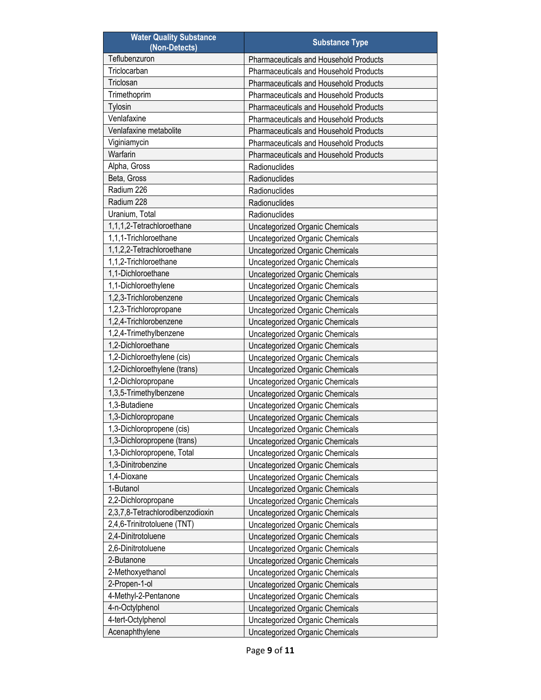| <b>Water Quality Substance</b><br>(Non-Detects) | <b>Substance Type</b>                         |
|-------------------------------------------------|-----------------------------------------------|
| Teflubenzuron                                   | <b>Pharmaceuticals and Household Products</b> |
| Triclocarban                                    | Pharmaceuticals and Household Products        |
| Triclosan                                       | <b>Pharmaceuticals and Household Products</b> |
| Trimethoprim                                    | Pharmaceuticals and Household Products        |
| Tylosin                                         | <b>Pharmaceuticals and Household Products</b> |
| Venlafaxine                                     | Pharmaceuticals and Household Products        |
| Venlafaxine metabolite                          | Pharmaceuticals and Household Products        |
| Viginiamycin                                    | <b>Pharmaceuticals and Household Products</b> |
| Warfarin                                        | Pharmaceuticals and Household Products        |
| Alpha, Gross                                    | Radionuclides                                 |
| Beta, Gross                                     | Radionuclides                                 |
| Radium 226                                      | Radionuclides                                 |
| Radium 228                                      | Radionuclides                                 |
| Uranium, Total                                  | Radionuclides                                 |
| 1,1,1,2-Tetrachloroethane                       | Uncategorized Organic Chemicals               |
| 1.1.1-Trichloroethane                           | <b>Uncategorized Organic Chemicals</b>        |
| 1,1,2,2-Tetrachloroethane                       | <b>Uncategorized Organic Chemicals</b>        |
| 1,1,2-Trichloroethane                           | <b>Uncategorized Organic Chemicals</b>        |
| 1,1-Dichloroethane                              | Uncategorized Organic Chemicals               |
| 1,1-Dichloroethylene                            | <b>Uncategorized Organic Chemicals</b>        |
| 1,2,3-Trichlorobenzene                          | <b>Uncategorized Organic Chemicals</b>        |
| 1,2,3-Trichloropropane                          | <b>Uncategorized Organic Chemicals</b>        |
| 1,2,4-Trichlorobenzene                          | Uncategorized Organic Chemicals               |
| 1,2,4-Trimethylbenzene                          | <b>Uncategorized Organic Chemicals</b>        |
| 1,2-Dichloroethane                              | <b>Uncategorized Organic Chemicals</b>        |
| 1,2-Dichloroethylene (cis)                      | <b>Uncategorized Organic Chemicals</b>        |
| 1,2-Dichloroethylene (trans)                    | Uncategorized Organic Chemicals               |
| 1,2-Dichloropropane                             | <b>Uncategorized Organic Chemicals</b>        |
| 1,3,5-Trimethylbenzene                          | <b>Uncategorized Organic Chemicals</b>        |
| 1,3-Butadiene                                   | <b>Uncategorized Organic Chemicals</b>        |
| 1,3-Dichloropropane                             | Uncategorized Organic Chemicals               |
| 1,3-Dichloropropene (cis)                       | <b>Uncategorized Organic Chemicals</b>        |
| 1,3-Dichloropropene (trans)                     | Uncategorized Organic Chemicals               |
| 1,3-Dichloropropene, Total                      | Uncategorized Organic Chemicals               |
| 1,3-Dinitrobenzine                              | <b>Uncategorized Organic Chemicals</b>        |
| 1,4-Dioxane                                     | <b>Uncategorized Organic Chemicals</b>        |
| 1-Butanol                                       | <b>Uncategorized Organic Chemicals</b>        |
| 2,2-Dichloropropane                             | Uncategorized Organic Chemicals               |
| 2,3,7,8-Tetrachlorodibenzodioxin                | Uncategorized Organic Chemicals               |
| 2,4,6-Trinitrotoluene (TNT)                     | <b>Uncategorized Organic Chemicals</b>        |
| 2,4-Dinitrotoluene                              | Uncategorized Organic Chemicals               |
| 2,6-Dinitrotoluene                              | Uncategorized Organic Chemicals               |
| 2-Butanone                                      | <b>Uncategorized Organic Chemicals</b>        |
| 2-Methoxyethanol                                | <b>Uncategorized Organic Chemicals</b>        |
| 2-Propen-1-ol                                   | <b>Uncategorized Organic Chemicals</b>        |
| 4-Methyl-2-Pentanone                            | Uncategorized Organic Chemicals               |
| 4-n-Octylphenol                                 | Uncategorized Organic Chemicals               |
| 4-tert-Octylphenol                              | Uncategorized Organic Chemicals               |
| Acenaphthylene                                  | <b>Uncategorized Organic Chemicals</b>        |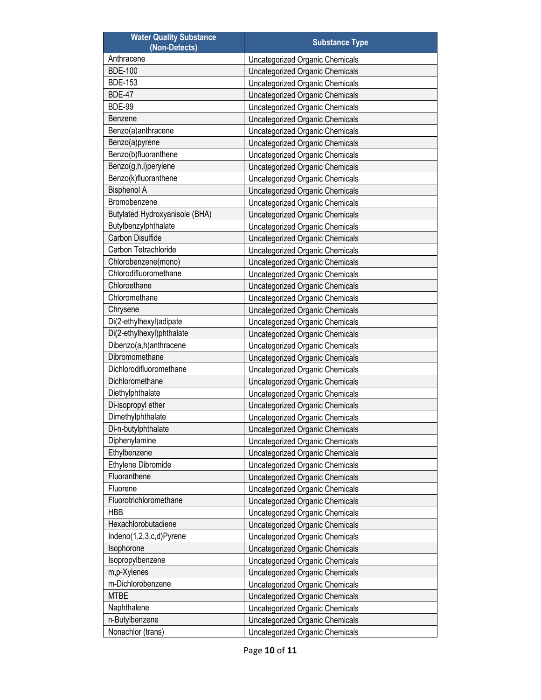| <b>Water Quality Substance</b><br>(Non-Detects) | <b>Substance Type</b>                  |
|-------------------------------------------------|----------------------------------------|
| Anthracene                                      | Uncategorized Organic Chemicals        |
| <b>BDE-100</b>                                  | Uncategorized Organic Chemicals        |
| <b>BDE-153</b>                                  | Uncategorized Organic Chemicals        |
| <b>BDE-47</b>                                   | Uncategorized Organic Chemicals        |
| <b>BDE-99</b>                                   | Uncategorized Organic Chemicals        |
| Benzene                                         | Uncategorized Organic Chemicals        |
| Benzo(a)anthracene                              | Uncategorized Organic Chemicals        |
| Benzo(a)pyrene                                  | Uncategorized Organic Chemicals        |
| Benzo(b)fluoranthene                            | Uncategorized Organic Chemicals        |
| Benzo(g,h,i)perylene                            | Uncategorized Organic Chemicals        |
| Benzo(k)fluoranthene                            | Uncategorized Organic Chemicals        |
| <b>Bisphenol A</b>                              | Uncategorized Organic Chemicals        |
| Bromobenzene                                    | Uncategorized Organic Chemicals        |
| Butylated Hydroxyanisole (BHA)                  | Uncategorized Organic Chemicals        |
| Butylbenzylphthalate                            | <b>Uncategorized Organic Chemicals</b> |
| Carbon Disulfide                                | Uncategorized Organic Chemicals        |
| Carbon Tetrachloride                            | <b>Uncategorized Organic Chemicals</b> |
| Chlorobenzene(mono)                             | Uncategorized Organic Chemicals        |
| Chlorodifluoromethane                           | Uncategorized Organic Chemicals        |
| Chloroethane                                    | Uncategorized Organic Chemicals        |
| Chloromethane                                   | Uncategorized Organic Chemicals        |
| Chrysene                                        | Uncategorized Organic Chemicals        |
| Di(2-ethylhexyl)adipate                         | Uncategorized Organic Chemicals        |
| Di(2-ethylhexyl)phthalate                       | Uncategorized Organic Chemicals        |
| Dibenzo(a,h)anthracene                          | Uncategorized Organic Chemicals        |
| Dibromomethane                                  | Uncategorized Organic Chemicals        |
| Dichlorodifluoromethane                         | Uncategorized Organic Chemicals        |
| Dichloromethane                                 | Uncategorized Organic Chemicals        |
| Diethylphthalate                                | Uncategorized Organic Chemicals        |
| Di-isopropyl ether                              | Uncategorized Organic Chemicals        |
| Dimethylphthalate                               | Uncategorized Organic Chemicals        |
| Di-n-butylphthalate                             | Uncategorized Organic Chemicals        |
| Diphenylamine                                   | Uncategorized Organic Chemicals        |
| Ethylbenzene                                    | <b>Uncategorized Organic Chemicals</b> |
| Ethylene Dibromide                              | Uncategorized Organic Chemicals        |
| Fluoranthene                                    | Uncategorized Organic Chemicals        |
| Fluorene                                        | Uncategorized Organic Chemicals        |
| Fluorotrichloromethane                          | <b>Uncategorized Organic Chemicals</b> |
| <b>HBB</b>                                      | Uncategorized Organic Chemicals        |
| Hexachlorobutadiene                             | Uncategorized Organic Chemicals        |
| Indeno(1,2,3,c,d)Pyrene                         | Uncategorized Organic Chemicals        |
| Isophorone                                      | Uncategorized Organic Chemicals        |
| Isopropylbenzene                                | Uncategorized Organic Chemicals        |
| m,p-Xylenes                                     | Uncategorized Organic Chemicals        |
| m-Dichlorobenzene                               | Uncategorized Organic Chemicals        |
| <b>MTBE</b>                                     | Uncategorized Organic Chemicals        |
| Naphthalene                                     | Uncategorized Organic Chemicals        |
| n-Butylbenzene                                  | Uncategorized Organic Chemicals        |
| Nonachlor (trans)                               | <b>Uncategorized Organic Chemicals</b> |